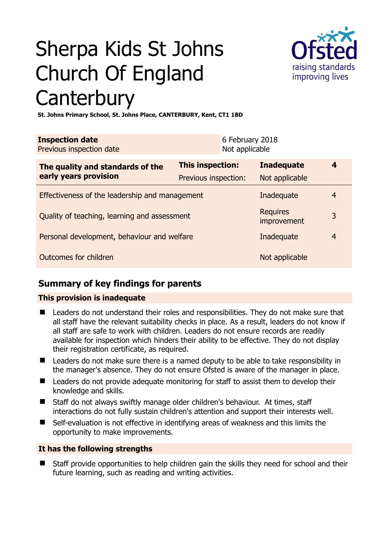# Sherpa Kids St Johns Church Of England **Canterbury**



**St. Johns Primary School, St. Johns Place, CANTERBURY, Kent, CT1 1BD** 

| This inspection:                               | <b>Inadequate</b>    | 4                                                                                                                                   |
|------------------------------------------------|----------------------|-------------------------------------------------------------------------------------------------------------------------------------|
| Effectiveness of the leadership and management |                      | $\overline{4}$                                                                                                                      |
| Quality of teaching, learning and assessment   |                      | 3                                                                                                                                   |
| Personal development, behaviour and welfare    |                      | $\overline{4}$                                                                                                                      |
| Outcomes for children                          |                      |                                                                                                                                     |
|                                                | Previous inspection: | 6 February 2018<br>Not applicable<br>Not applicable<br>Inadequate<br><b>Requires</b><br>improvement<br>Inadequate<br>Not applicable |

# **Summary of key findings for parents**

## **This provision is inadequate**

- Leaders do not understand their roles and responsibilities. They do not make sure that all staff have the relevant suitability checks in place. As a result, leaders do not know if all staff are safe to work with children. Leaders do not ensure records are readily available for inspection which hinders their ability to be effective. They do not display their registration certificate, as required.
- Leaders do not make sure there is a named deputy to be able to take responsibility in the manager's absence. They do not ensure Ofsted is aware of the manager in place.
- Leaders do not provide adequate monitoring for staff to assist them to develop their knowledge and skills.
- Staff do not always swiftly manage older children's behaviour. At times, staff interactions do not fully sustain children's attention and support their interests well.
- Self-evaluation is not effective in identifying areas of weakness and this limits the opportunity to make improvements.

## **It has the following strengths**

■ Staff provide opportunities to help children gain the skills they need for school and their future learning, such as reading and writing activities.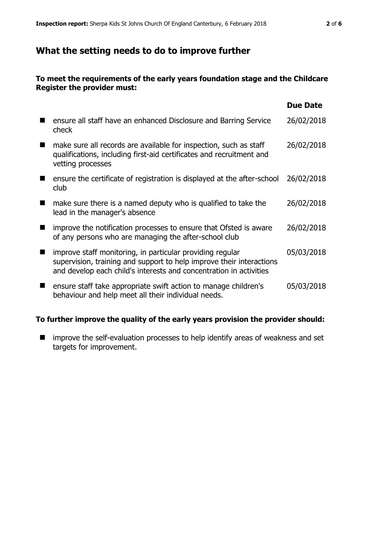## **What the setting needs to do to improve further**

#### **To meet the requirements of the early years foundation stage and the Childcare Register the provider must:**

|                                                                                                                                                                                                         | <b>Due Date</b> |
|---------------------------------------------------------------------------------------------------------------------------------------------------------------------------------------------------------|-----------------|
| ensure all staff have an enhanced Disclosure and Barring Service<br>check                                                                                                                               | 26/02/2018      |
| make sure all records are available for inspection, such as staff<br>qualifications, including first-aid certificates and recruitment and<br>vetting processes                                          | 26/02/2018      |
| ensure the certificate of registration is displayed at the after-school<br>club                                                                                                                         | 26/02/2018      |
| make sure there is a named deputy who is qualified to take the<br>lead in the manager's absence                                                                                                         | 26/02/2018      |
| improve the notification processes to ensure that Ofsted is aware<br>of any persons who are managing the after-school club                                                                              | 26/02/2018      |
| improve staff monitoring, in particular providing regular<br>supervision, training and support to help improve their interactions<br>and develop each child's interests and concentration in activities | 05/03/2018      |
| ensure staff take appropriate swift action to manage children's<br>behaviour and help meet all their individual needs.                                                                                  | 05/03/2018      |

## **To further improve the quality of the early years provision the provider should:**

 $\blacksquare$  improve the self-evaluation processes to help identify areas of weakness and set targets for improvement.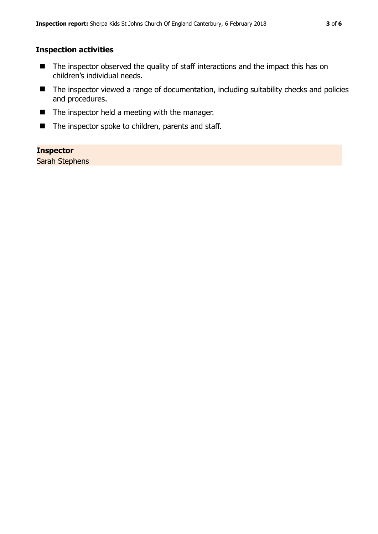## **Inspection activities**

- The inspector observed the quality of staff interactions and the impact this has on children's individual needs.
- The inspector viewed a range of documentation, including suitability checks and policies and procedures.
- The inspector held a meeting with the manager.
- The inspector spoke to children, parents and staff.

## **Inspector**

Sarah Stephens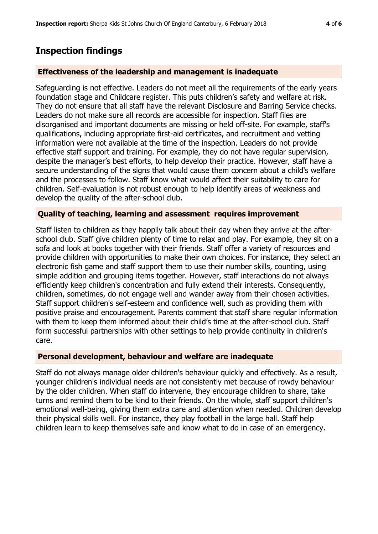# **Inspection findings**

#### **Effectiveness of the leadership and management is inadequate**

Safeguarding is not effective. Leaders do not meet all the requirements of the early years foundation stage and Childcare register. This puts children's safety and welfare at risk. They do not ensure that all staff have the relevant Disclosure and Barring Service checks. Leaders do not make sure all records are accessible for inspection. Staff files are disorganised and important documents are missing or held off-site. For example, staff's qualifications, including appropriate first-aid certificates, and recruitment and vetting information were not available at the time of the inspection. Leaders do not provide effective staff support and training. For example, they do not have regular supervision, despite the manager's best efforts, to help develop their practice. However, staff have a secure understanding of the signs that would cause them concern about a child's welfare and the processes to follow. Staff know what would affect their suitability to care for children. Self-evaluation is not robust enough to help identify areas of weakness and develop the quality of the after-school club.

#### **Quality of teaching, learning and assessment requires improvement**

Staff listen to children as they happily talk about their day when they arrive at the afterschool club. Staff give children plenty of time to relax and play. For example, they sit on a sofa and look at books together with their friends. Staff offer a variety of resources and provide children with opportunities to make their own choices. For instance, they select an electronic fish game and staff support them to use their number skills, counting, using simple addition and grouping items together. However, staff interactions do not always efficiently keep children's concentration and fully extend their interests. Consequently, children, sometimes, do not engage well and wander away from their chosen activities. Staff support children's self-esteem and confidence well, such as providing them with positive praise and encouragement. Parents comment that staff share regular information with them to keep them informed about their child's time at the after-school club. Staff form successful partnerships with other settings to help provide continuity in children's care.

#### **Personal development, behaviour and welfare are inadequate**

Staff do not always manage older children's behaviour quickly and effectively. As a result, younger children's individual needs are not consistently met because of rowdy behaviour by the older children. When staff do intervene, they encourage children to share, take turns and remind them to be kind to their friends. On the whole, staff support children's emotional well-being, giving them extra care and attention when needed. Children develop their physical skills well. For instance, they play football in the large hall. Staff help children learn to keep themselves safe and know what to do in case of an emergency.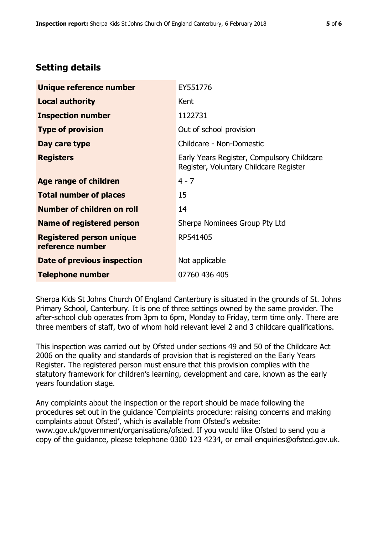# **Setting details**

| Unique reference number                             | EY551776                                                                             |
|-----------------------------------------------------|--------------------------------------------------------------------------------------|
| <b>Local authority</b>                              | Kent                                                                                 |
| <b>Inspection number</b>                            | 1122731                                                                              |
| <b>Type of provision</b>                            | Out of school provision                                                              |
| Day care type                                       | Childcare - Non-Domestic                                                             |
| <b>Registers</b>                                    | Early Years Register, Compulsory Childcare<br>Register, Voluntary Childcare Register |
| Age range of children                               | $4 - 7$                                                                              |
| <b>Total number of places</b>                       | 15                                                                                   |
| Number of children on roll                          | 14                                                                                   |
| Name of registered person                           | Sherpa Nominees Group Pty Ltd                                                        |
| <b>Registered person unique</b><br>reference number | RP541405                                                                             |
| Date of previous inspection                         | Not applicable                                                                       |
| <b>Telephone number</b>                             | 07760 436 405                                                                        |

Sherpa Kids St Johns Church Of England Canterbury is situated in the grounds of St. Johns Primary School, Canterbury. It is one of three settings owned by the same provider. The after-school club operates from 3pm to 6pm, Monday to Friday, term time only. There are three members of staff, two of whom hold relevant level 2 and 3 childcare qualifications.

This inspection was carried out by Ofsted under sections 49 and 50 of the Childcare Act 2006 on the quality and standards of provision that is registered on the Early Years Register. The registered person must ensure that this provision complies with the statutory framework for children's learning, development and care, known as the early years foundation stage.

Any complaints about the inspection or the report should be made following the procedures set out in the guidance 'Complaints procedure: raising concerns and making complaints about Ofsted', which is available from Ofsted's website: www.gov.uk/government/organisations/ofsted. If you would like Ofsted to send you a copy of the guidance, please telephone 0300 123 4234, or email enquiries@ofsted.gov.uk.